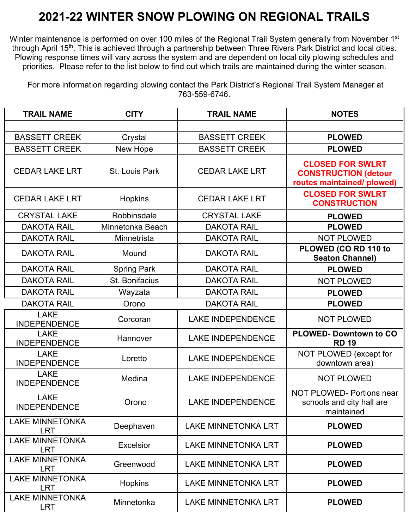## **2021-22 WINTER SNOW PLOWING ON REGIONAL TRAILS**

Winter maintenance is performed on over 100 miles of the Regional Trail System generally from November 1<sup>st</sup> through April 15th. This is achieved through a partnership between Three Rivers Park District and local cities. Plowing response times will vary across the system and are dependent on local city plowing schedules and priorities. Please refer to the list below to find out which trails are maintained during the winter season.

 For more information regarding plowing contact the Park District's Regional Trail System Manager at 763-559-6746.

| <b>TRAIL NAME</b>                    | <b>CITY</b>        | <b>TRAIL NAME</b>          | <b>NOTES</b>                                                                         |
|--------------------------------------|--------------------|----------------------------|--------------------------------------------------------------------------------------|
|                                      |                    |                            |                                                                                      |
| <b>BASSETT CREEK</b>                 | Crystal            | <b>BASSETT CREEK</b>       | <b>PLOWED</b>                                                                        |
| <b>BASSETT CREEK</b>                 | New Hope           | <b>BASSETT CREEK</b>       | <b>PLOWED</b>                                                                        |
| <b>CEDAR LAKE LRT</b>                | St. Louis Park     | <b>CEDAR LAKE LRT</b>      | <b>CLOSED FOR SWLRT</b><br><b>CONSTRUCTION (detour</b><br>routes maintained/ plowed) |
| <b>CEDAR LAKE LRT</b>                | Hopkins            | <b>CEDAR LAKE LRT</b>      | <b>CLOSED FOR SWLRT</b><br><b>CONSTRUCTION</b>                                       |
| <b>CRYSTAL LAKE</b>                  | Robbinsdale        | <b>CRYSTAL LAKE</b>        | <b>PLOWED</b>                                                                        |
| <b>DAKOTA RAIL</b>                   | Minnetonka Beach   | <b>DAKOTA RAIL</b>         | <b>PLOWED</b>                                                                        |
| <b>DAKOTA RAIL</b>                   | Minnetrista        | <b>DAKOTA RAIL</b>         | <b>NOT PLOWED</b>                                                                    |
| <b>DAKOTA RAIL</b>                   | Mound              | <b>DAKOTA RAIL</b>         | PLOWED (CO RD 110 to<br><b>Seaton Channel)</b>                                       |
| <b>DAKOTA RAIL</b>                   | <b>Spring Park</b> | <b>DAKOTA RAIL</b>         | <b>PLOWED</b>                                                                        |
| <b>DAKOTA RAIL</b>                   | St. Bonifacius     | <b>DAKOTA RAIL</b>         | <b>NOT PLOWED</b>                                                                    |
| <b>DAKOTA RAIL</b>                   | Wayzata            | <b>DAKOTA RAIL</b>         | <b>PLOWED</b>                                                                        |
| <b>DAKOTA RAIL</b>                   | Orono              | <b>DAKOTA RAIL</b>         | <b>PLOWED</b>                                                                        |
| <b>LAKE</b><br><b>INDEPENDENCE</b>   | Corcoran           | <b>LAKE INDEPENDENCE</b>   | <b>NOT PLOWED</b>                                                                    |
| <b>LAKE</b><br><b>INDEPENDENCE</b>   | Hannover           | <b>LAKE INDEPENDENCE</b>   | PLOWED-Downtown to CO<br><b>RD 19</b>                                                |
| <b>LAKE</b><br><b>INDEPENDENCE</b>   | Loretto            | <b>LAKE INDEPENDENCE</b>   | NOT PLOWED (except for<br>downtown area)                                             |
| <b>LAKE</b><br><b>INDEPENDENCE</b>   | Medina             | <b>LAKE INDEPENDENCE</b>   | <b>NOT PLOWED</b>                                                                    |
| <b>LAKE</b><br><b>INDEPENDENCE</b>   | Orono              | <b>LAKE INDEPENDENCE</b>   | <b>NOT PLOWED- Portions near</b><br>schools and city hall are<br>maintained          |
| <b>LAKE MINNETONKA</b><br><b>LRT</b> | Deephaven          | <b>LAKE MINNETONKA LRT</b> | <b>PLOWED</b>                                                                        |
| <b>LAKE MINNETONKA</b><br><b>LRT</b> | <b>Excelsior</b>   | <b>LAKE MINNETONKA LRT</b> | <b>PLOWED</b>                                                                        |
| <b>LAKE MINNETONKA</b><br><b>LRT</b> | Greenwood          | <b>LAKE MINNETONKA LRT</b> | <b>PLOWED</b>                                                                        |
| <b>LAKE MINNETONKA</b><br><b>LRT</b> | Hopkins            | <b>LAKE MINNETONKA LRT</b> | <b>PLOWED</b>                                                                        |
| <b>LAKE MINNETONKA</b><br><b>LRT</b> | Minnetonka         | <b>LAKE MINNETONKA LRT</b> | <b>PLOWED</b>                                                                        |